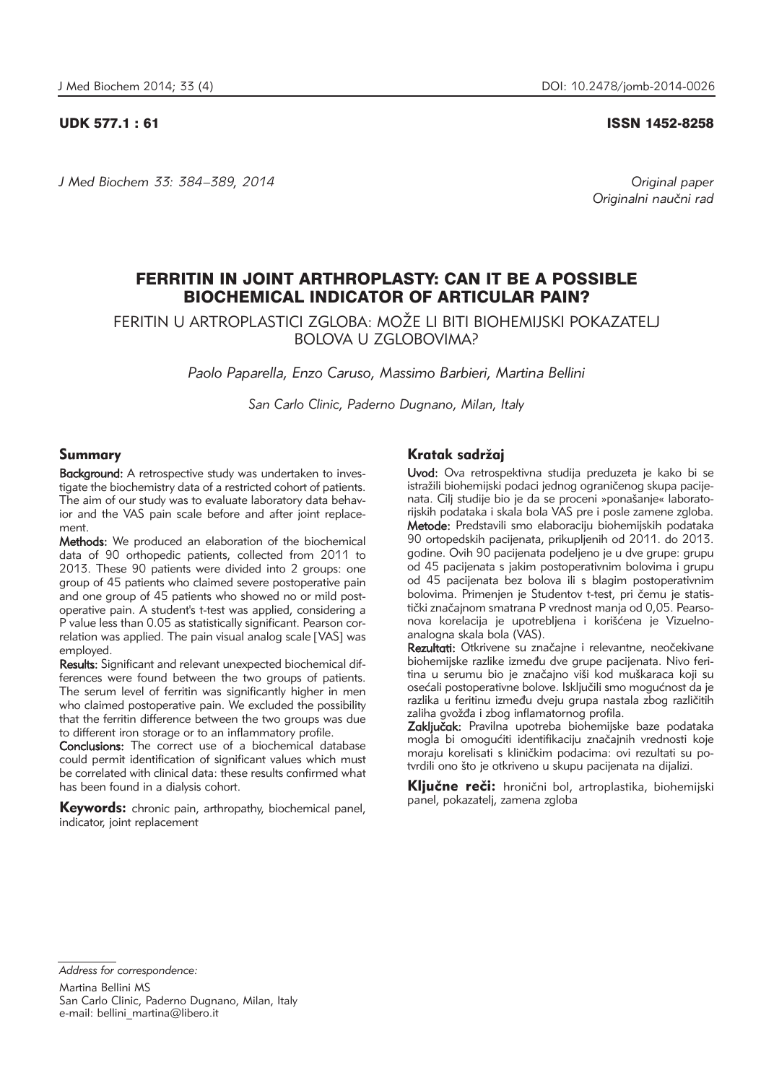*J Med Biochem 33: 384–389, 2014 Original paper*

UDK 577.1 : 61 ISSN 1452-8258

Originalni naučni rad

# FERRITIN IN JOINT ARTHROPLASTY: CAN IT BE A POSSIBLE BIOCHEMICAL INDICATOR OF ARTICULAR PAIN?

FERITIN U ARTROPLASTICI ZGLOBA: MO@E LI BITI BIOHEMIJSKI POKAZATELJ BOLOVA U ZGLOBOVIMA?

*Paolo Paparella, Enzo Caruso, Massimo Barbieri, Martina Bellini*

*San Carlo Clinic, Paderno Dugnano, Milan, Italy*

## Summary

Background: A retrospective study was undertaken to investigate the biochemistry data of a restricted cohort of patients. The aim of our study was to evaluate laboratory data behavior and the VAS pain scale before and after joint replacement.

Methods: We produced an elaboration of the biochemical data of 90 orthopedic patients, collected from 2011 to 2013. These 90 patients were divided into 2 groups: one group of 45 patients who claimed severe postoperative pain and one group of 45 patients who showed no or mild postoperative pain. A student's t-test was applied, considering a P value less than 0.05 as statistically significant. Pearson correlation was applied. The pain visual analog scale [VAS] was employed.

Results: Significant and relevant unexpected biochemical differences were found between the two groups of patients. The serum level of ferritin was significantly higher in men who claimed postoperative pain. We excluded the possibility that the ferritin difference between the two groups was due to different iron storage or to an inflammatory profile.

Conclusions: The correct use of a biochemical database could permit identification of significant values which must be correlated with clinical data: these results confirmed what has been found in a dialysis cohort.

Keywords: chronic pain, arthropathy, biochemical panel, indicator, joint replacement

## Kratak sadržai

Uvod: Ova retrospektivna studija preduzeta je kako bi se istražili biohemijski podaci jednog ograničenog skupa pacijenata. Cilj studije bio je da se proceni »ponašanje« laboratorijskih podataka i skala bola VAS pre i posle zamene zgloba. Metode: Predstavili smo elaboraciju biohemijskih podataka 90 ortopedskih pacijenata, prikupljenih od 2011. do 2013. godine. Ovih 90 pacijenata podeljeno je u dve grupe: grupu od 45 pacijenata s jakim postoperativnim bolovima i grupu od 45 pacijenata bez bolova ili s blagim postoperativnim bolovima. Primenjen je Studentov t-test, pri čemu je statistički značajnom smatrana P vrednost manja od 0,05. Pearsonova korelacija je upotrebljena i korišćena je Vizuelnoanalogna skala bola (VAS).

Rezultati: Otkrivene su značajne i relevantne, neočekivane biohemijske razlike između dve grupe pacijenata. Nivo feritina u serumu bio je značajno viši kod muškaraca koji su osećali postoperativne bolove. Isključili smo mogućnost da je razlika u feritinu između dveju grupa nastala zbog različitih zaliha gvožđa i zbog inflamatornog profila.

Zaključak: Pravilna upotreba biohemijske baze podataka mogla bi omogućiti identifikaciju značajnih vrednosti koje moraju korelisati s kliničkim podacima: ovi rezultati su potvrdili ono što je otkriveno u skupu pacijenata na dijalizi.

Ključne reči: hronični bol, artroplastika, biohemijski panel, pokazatelj, zamena zgloba

*Address for correspondence:* Martina Bellini MS San Carlo Clinic, Paderno Dugnano, Milan, Italy e-mail: bellini martina@libero.it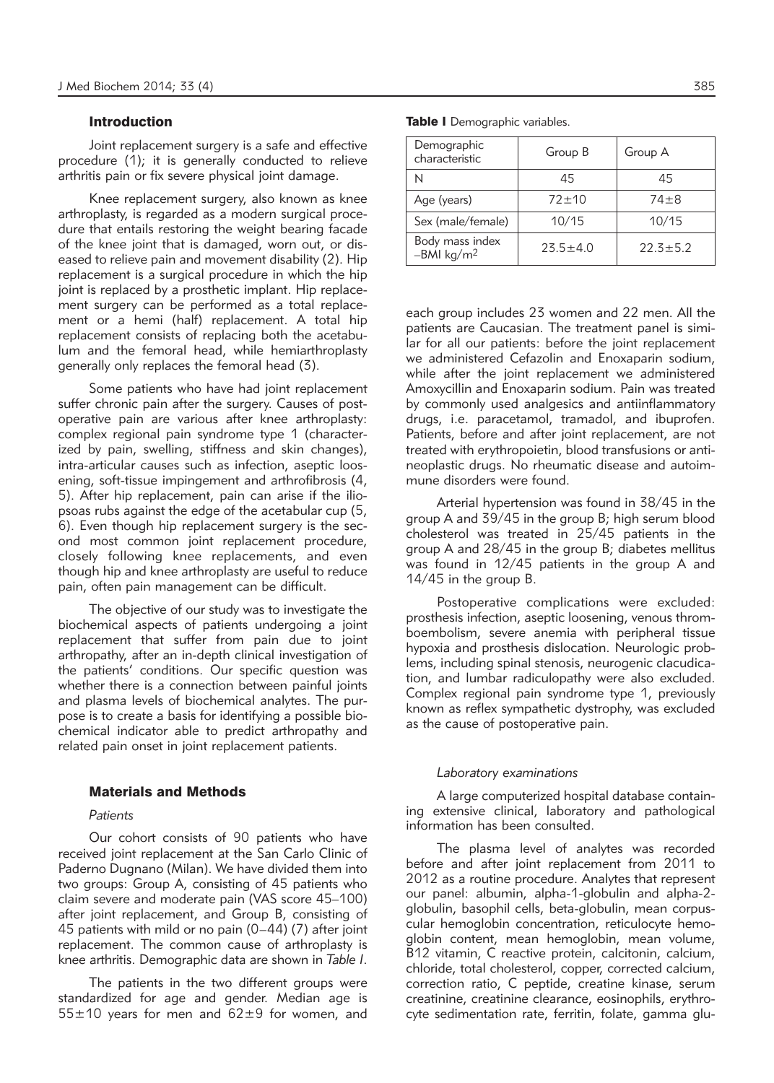## Introduction

Joint replacement surgery is a safe and effective procedure (1); it is generally conducted to relieve arthritis pain or fix severe physical joint damage.

Knee replacement surgery, also known as knee arthroplasty, is regarded as a modern surgical procedure that entails restoring the weight bearing facade of the knee joint that is damaged, worn out, or diseased to relieve pain and movement disability (2). Hip replacement is a surgical procedure in which the hip joint is replaced by a prosthetic implant. Hip replacement surgery can be performed as a total replacement or a hemi (half) replacement. A total hip replacement consists of replacing both the acetabulum and the femoral head, while hemiarthroplasty generally only replaces the femoral head (3).

Some patients who have had joint replacement suffer chronic pain after the surgery. Causes of postoperative pain are various after knee arthroplasty: complex regional pain syndrome type 1 (characterized by pain, swelling, stiffness and skin changes), intra-articular causes such as infection, aseptic loosening, soft-tissue impingement and arthrofibrosis (4, 5). After hip replacement, pain can arise if the iliopsoas rubs against the edge of the acetabular cup (5, 6). Even though hip replacement surgery is the second most common joint replacement procedure, closely following knee replacements, and even though hip and knee arthroplasty are useful to reduce pain, often pain management can be difficult.

The objective of our study was to investigate the biochemical aspects of patients undergoing a joint replacement that suffer from pain due to joint arthropathy, after an in-depth clinical investigation of the patients' conditions. Our specific question was whether there is a connection between painful joints and plasma levels of biochemical analytes. The purpose is to create a basis for identifying a possible biochemical indicator able to predict arthropathy and related pain onset in joint replacement patients.

#### Materials and Methods

#### *Patients*

Our cohort consists of 90 patients who have received joint replacement at the San Carlo Clinic of Paderno Dugnano (Milan). We have divided them into two groups: Group A, consisting of 45 patients who claim severe and moderate pain (VAS score 45–100) after joint replacement, and Group B, consisting of 45 patients with mild or no pain (0–44) (7) after joint replacement. The common cause of arthroplasty is knee arthritis. Demographic data are shown in *Table I*.

The patients in the two different groups were standardized for age and gender. Median age is  $55±10$  years for men and  $62±9$  for women, and

| Demographic<br>characteristic             | Group B      | Group A      |  |  |
|-------------------------------------------|--------------|--------------|--|--|
|                                           | 45           | 45           |  |  |
| Age (years)                               | $72 + 10$    | $74 + 8$     |  |  |
| Sex (male/female)                         | 10/15        | 10/15        |  |  |
| Body mass index<br>-BMI kg/m <sup>2</sup> | $23.5 + 4.0$ | $22.3 + 5.2$ |  |  |

each group includes 23 women and 22 men. All the patients are Caucasian. The treatment panel is similar for all our patients: before the joint replacement we administered Cefazolin and Enoxaparin sodium, while after the joint replacement we administered Amoxycillin and Enoxaparin sodium. Pain was treated by commonly used analgesics and antiinflammatory drugs, i.e. paracetamol, tramadol, and ibuprofen. Patients, before and after joint replacement, are not treated with erythropoietin, blood transfusions or antineoplastic drugs. No rheumatic disease and autoimmune disorders were found.

Arterial hypertension was found in 38/45 in the group A and 39/45 in the group B; high serum blood cholesterol was treated in 25/45 patients in the group A and 28/45 in the group B; diabetes mellitus was found in 12/45 patients in the group A and 14/45 in the group B.

Postoperative complications were excluded: prosthesis infection, aseptic loosening, venous thromboembolism, severe anemia with peripheral tissue hypoxia and prosthesis dislocation. Neurologic problems, including spinal stenosis, neurogenic clacudication, and lumbar radiculopathy were also excluded. Complex regional pain syndrome type 1, previously known as reflex sympathetic dystrophy, was excluded as the cause of postoperative pain.

#### *Laboratory examinations*

A large computerized hospital database containing extensive clinical, laboratory and pathological information has been consulted.

The plasma level of analytes was recorded before and after joint replacement from 2011 to 2012 as a routine procedure. Analytes that represent our panel: albumin, alpha-1-globulin and alpha-2 globulin, basophil cells, beta-globulin, mean corpuscular hemoglobin concentration, reticulocyte hemoglobin content, mean hemoglobin, mean volume, B12 vitamin, C reactive protein, calcitonin, calcium, chloride, total cholesterol, copper, corrected calcium, correction ratio, C peptide, creatine kinase, serum creatinine, creatinine clearance, eosinophils, erythrocyte sedimentation rate, ferritin, folate, gamma glu-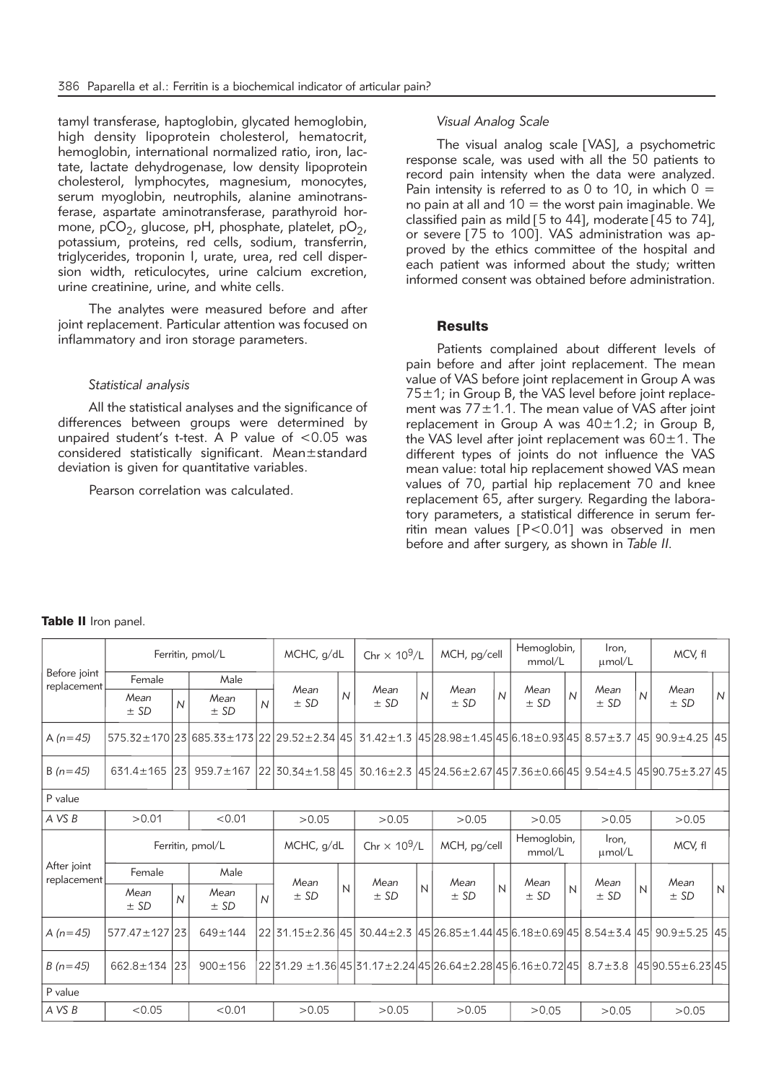tamyl transferase, haptoglobin, glycated hemoglobin, high density lipoprotein cholesterol, hematocrit, hemoglobin, international normalized ratio, iron, lactate, lactate dehydrogenase, low density lipoprotein cholesterol, lymphocytes, magnesium, monocytes, serum myoglobin, neutrophils, alanine aminotransferase, aspartate aminotransferase, parathyroid hormone,  $pCO<sub>2</sub>$ , glucose, pH, phosphate, platelet,  $pO<sub>2</sub>$ , potassium, proteins, red cells, sodium, transferrin, triglycerides, troponin I, urate, urea, red cell dispersion width, reticulocytes, urine calcium excretion, urine creatinine, urine, and white cells.

The analytes were measured before and after joint replacement. Particular attention was focused on inflammatory and iron storage parameters.

#### *Statistical analysis*

All the statistical analyses and the significance of differences between groups were determined by unpaired student's t-test. A P value of <0.05 was considered statistically significant. Mean±standard deviation is given for quantitative variables.

Pearson correlation was calculated.

## *Visual Analog Scale*

The visual analog scale [VAS], a psychometric response scale, was used with all the 50 patients to record pain intensity when the data were analyzed. Pain intensity is referred to as 0 to 10, in which  $0 =$ no pain at all and  $10 =$  the worst pain imaginable. We classified pain as mild [5 to 44], moderate [45 to 74], or severe [75 to 100]. VAS administration was approved by the ethics committee of the hospital and each patient was informed about the study; written informed consent was obtained before administration.

### Results

Patients complained about different levels of pain before and after joint replacement. The mean value of VAS before joint replacement in Group A was  $75±1$ ; in Group B, the VAS level before joint replacement was  $77 \pm 1.1$ . The mean value of VAS after joint replacement in Group A was  $40\pm1.2$ ; in Group B, the VAS level after joint replacement was  $60 \pm 1$ . The different types of joints do not influence the VAS mean value: total hip replacement showed VAS mean values of 70, partial hip replacement 70 and knee replacement 65, after surgery. Regarding the laboratory parameters, a statistical difference in serum ferritin mean values [P<0.01] was observed in men before and after surgery, as shown in *Table II.*

#### Table II Iron panel.

|                             | Ferritin, pmol/L |                |                                           |                | MCHC, g/dL                                                                   |                                 | Chr $\times$ 10 <sup>9</sup> /L |                | MCH, pg/cell                                                              |                       | Hemoglobin,<br>mmol/L |                      | Iron,<br>µmol/L |                | MCV, fl        |                |       |  |
|-----------------------------|------------------|----------------|-------------------------------------------|----------------|------------------------------------------------------------------------------|---------------------------------|---------------------------------|----------------|---------------------------------------------------------------------------|-----------------------|-----------------------|----------------------|-----------------|----------------|----------------|----------------|-------|--|
| Before joint<br>replacement | Female           |                | Male                                      |                | Mean                                                                         |                                 | Mean                            |                | Mean                                                                      |                       | Mean                  |                      | Mean            |                | Mean           |                |       |  |
|                             | Mean<br>± SD     | $\overline{N}$ | Mean<br>± SD                              | $\overline{N}$ | ± SD                                                                         | $\overline{N}$                  | ± SD                            | $\overline{N}$ | ± SD                                                                      | $\overline{N}$        | ± SD                  | $\overline{N}$       | ± SD            | $\overline{N}$ | ± SD           | $\overline{N}$ |       |  |
| A $(n=45)$                  |                  |                | 575.32±170 23 685.33±173 22 29.52±2.34 45 |                |                                                                              |                                 | $31.42 \pm 1.3$                 |                | $ 45 28.98 \pm 1.45 45 6.18 \pm 0.93 45 8.57 \pm 3.7 45 90.9 \pm 4.25 45$ |                       |                       |                      |                 |                |                |                |       |  |
| $B(n=45)$                   | $631.4 \pm 165$  | 23             | $959.7 \pm 167$                           |                | 22 30.34 ± 1.58 45                                                           |                                 |                                 |                | 30.16±2.3 45 24.56±2.67 45 7.36±0.66 45 9.54±4.5 45 90.75 ± 3.27 45       |                       |                       |                      |                 |                |                |                |       |  |
| P value                     |                  |                |                                           |                |                                                                              |                                 |                                 |                |                                                                           |                       |                       |                      |                 |                |                |                |       |  |
| A VS B                      | >0.01            |                | < 0.01                                    |                | >0.05                                                                        |                                 | >0.05                           |                | >0.05                                                                     |                       | >0.05                 |                      | >0.05           |                | >0.05          |                |       |  |
|                             | Ferritin, pmol/L |                |                                           | MCHC, g/dL     |                                                                              | Chr $\times$ 10 <sup>9</sup> /L |                                 | MCH, pg/cell   |                                                                           | Hemoglobin,<br>mmol/L |                       | Iron,<br>$\mu$ mol/L |                 | MCV, fl        |                |                |       |  |
| After joint<br>replacement  | Female<br>Male   |                |                                           | Mean           |                                                                              | Mean                            |                                 | Mean           |                                                                           | Mean                  |                       | Mean                 |                 | Mean           |                |                |       |  |
|                             | Mean<br>± SD     | $\overline{N}$ | Mean<br>$\pm$ SD                          | $\overline{N}$ | ± SD                                                                         | $\mathsf{N}$                    | ± SD                            | $\overline{N}$ | ± SD                                                                      | $\overline{N}$        | ± SD                  | N                    | ± SD            | $\overline{N}$ | ± SD           | $\mathsf{N}$   |       |  |
| A $(n=45)$                  | 577.47 ± 127 23  |                | $649 \pm 144$                             |                | 2231.15 ± 2.36 45                                                            |                                 | $30.44 \pm 2.3$                 |                | $145$  26.85±1.44 45 6.18±0.69 45  8.54±3.4  45  90.9±5.25  45            |                       |                       |                      |                 |                |                |                |       |  |
| $B(n=45)$                   | $662.8 \pm 134$  | 23             | $900 \pm 156$                             |                | $22 31.29 \pm 1.36 45 31.17 \pm 2.24 45 26.64 \pm 2.28 45 6.16 \pm 0.72 45 $ |                                 |                                 |                |                                                                           |                       |                       |                      | $8.7 + 5.8$     |                | 4590.55±6.2345 |                |       |  |
| P value                     |                  |                |                                           |                |                                                                              |                                 |                                 |                |                                                                           |                       |                       |                      |                 |                |                |                |       |  |
| A VS B                      | < 0.05           |                | < 0.01                                    |                | >0.05                                                                        |                                 |                                 | >0.05          |                                                                           |                       |                       | >0.05                |                 |                | >0.05          |                | >0.05 |  |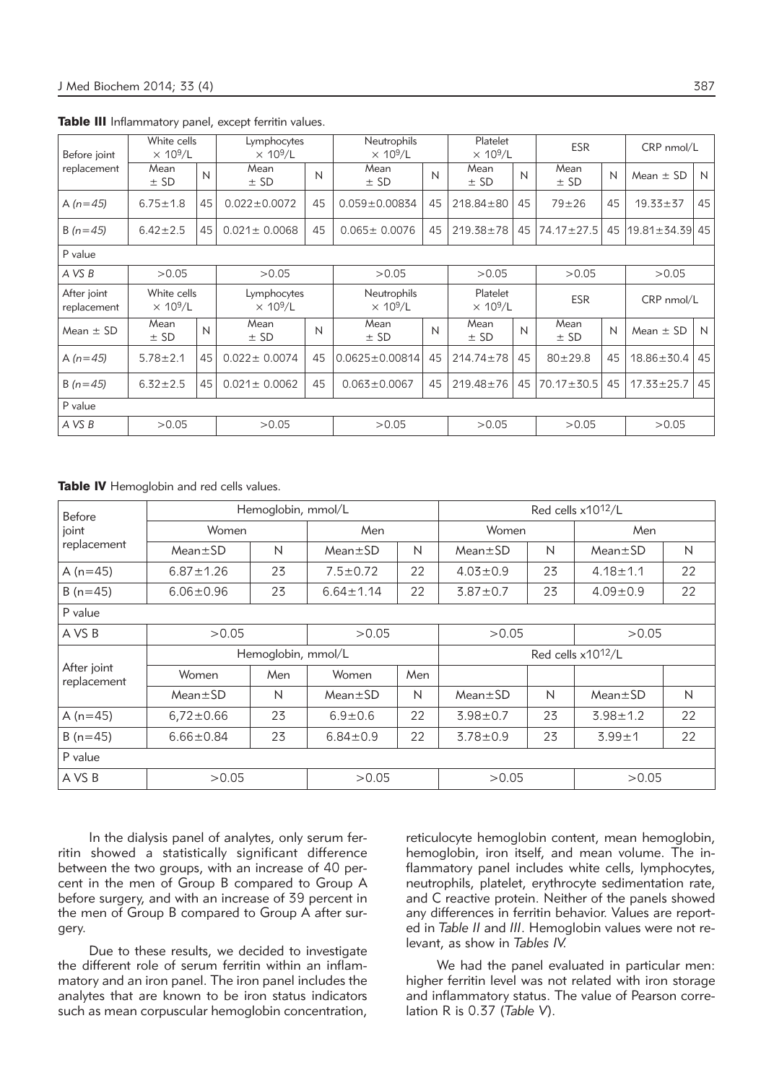| Before joint               | White cells<br>$\times$ 10 <sup>9</sup> /L |                                            | Lymphocytes<br>$\times$ 10 <sup>9</sup> /L |       | Neutrophils<br>$\times$ 10 <sup>9</sup> /L |       |                                         | $\times$ 10 <sup>9</sup> /L | <b>ESR</b>       |       | CRP nmol/L       |            |
|----------------------------|--------------------------------------------|--------------------------------------------|--------------------------------------------|-------|--------------------------------------------|-------|-----------------------------------------|-----------------------------|------------------|-------|------------------|------------|
| replacement                | Mean<br>$±$ SD                             | N                                          | Mean<br>$±$ SD                             | N     | Mean<br>$±$ SD                             | N     | Mean<br>$±$ SD                          | N                           | Mean<br>$±$ SD   | N     | Mean $\pm$ SD    | N          |
| A $(n=45)$                 | $6.75 \pm 1.8$                             | 45                                         | 45<br>$0.022 \pm 0.0072$                   |       | $0.059 \pm 0.00834$                        | 45    | $218.84 \pm 80$                         | 45                          | $79 + 26$        | 45    | $19.33 \pm 37$   | 45         |
| $B(n=45)$                  | $6.42 \pm 2.5$                             | 45                                         | $0.021 \pm 0.0068$                         | 45    | $0.065 \pm 0.0076$                         | 45    | $219.38 \pm 78$                         | 45                          | $74.17 \pm 27.5$ | 45    | l19.81±34.39l45  |            |
| P value                    |                                            |                                            |                                            |       |                                            |       |                                         |                             |                  |       |                  |            |
| A VS B                     | >0.05                                      | >0.05                                      |                                            |       | >0.05                                      |       | >0.05                                   |                             | >0.05            |       | >0.05            |            |
| After joint<br>replacement | White cells<br>$\times$ 10 <sup>9</sup> /L | Lymphocytes<br>$\times$ 10 <sup>9</sup> /L |                                            |       | Neutrophils<br>$\times$ 10 <sup>9</sup> /L |       | Platelet<br>$\times$ 10 <sup>9</sup> /L |                             | <b>ESR</b>       |       |                  | CRP nmol/L |
| Mean $\pm$ SD              | Mean<br>$±$ SD                             | N                                          | Mean<br>N<br>$±$ SD                        |       | Mean<br>$±$ SD                             | N     | Mean<br>$±$ SD                          | N                           | Mean<br>$±$ SD   | N     | Mean $\pm$ SD    | N          |
| A $(n=45)$                 | $5.78 \pm 2.1$                             | 45                                         | $0.022 \pm 0.0074$<br>45                   |       | $0.0625 \pm 0.00814$                       | 45    | $214.74 \pm 78$                         | 45                          | $80 + 29.8$      | 45    | $18.86 \pm 30.4$ | 45         |
| $B(n=45)$                  | $6.32 \pm 2.5$                             | 45                                         | $0.021 \pm 0.0062$<br>45                   |       | $0.063 \pm 0.0067$                         | 45    | $219.48 \pm 76$                         | 45                          | $70.17 \pm 30.5$ | 45    | $17.33 \pm 25.7$ | 45         |
| P value                    |                                            |                                            |                                            |       |                                            |       |                                         |                             |                  |       |                  |            |
| A VS B                     | >0.05                                      | >0.05                                      |                                            | >0.05 |                                            | >0.05 |                                         | >0.05                       |                  | >0.05 |                  |            |

Table III Inflammatory panel, except ferritin values.

Table IV Hemoglobin and red cells values.

| Before                     |                 | Hemoglobin, mmol/L |                 | Red cells x10 <sup>12</sup> /L |                |       |                |    |  |
|----------------------------|-----------------|--------------------|-----------------|--------------------------------|----------------|-------|----------------|----|--|
| joint                      | Women           |                    | Men             |                                | Women          |       | Men            |    |  |
| replacement                | $Mean \pm SD$   | N                  | $Mean \pm SD$   | N                              | $Mean \pm SD$  | N     | $Mean \pm SD$  | N  |  |
| A $(n=45)$                 | $6.87 \pm 1.26$ | 23                 | $7.5 \pm 0.72$  | 22                             | $4.03 \pm 0.9$ | 23    | $4.18 \pm 1.1$ | 22 |  |
| $B(n=45)$                  | $6.06 \pm 0.96$ | 23                 | $6.64 \pm 1.14$ | 22                             | $3.87 \pm 0.7$ | 23    | $4.09 \pm 0.9$ | 22 |  |
| P value                    |                 |                    |                 |                                |                |       |                |    |  |
| A VS B                     | >0.05           | >0.05              |                 | >0.05                          |                | >0.05 |                |    |  |
|                            |                 | Hemoglobin, mmol/L |                 | Red cells x10 <sup>12</sup> /L |                |       |                |    |  |
| After joint<br>replacement | Women           | Men                | Women           | Men                            |                |       |                |    |  |
|                            | $Mean \pm SD$   | N                  | $Mean \pm SD$   | N                              | $Mean \pm SD$  | N     | $Mean \pm SD$  | N  |  |
| A $(n=45)$                 | $6,72 \pm 0.66$ | 23                 | $6.9 \pm 0.6$   | 22                             | $3.98 \pm 0.7$ | 23    | $3.98 \pm 1.2$ | 22 |  |
| $B(n=45)$                  | $6.66 \pm 0.84$ | 23                 | $6.84 \pm 0.9$  | 22                             | $3.78 \pm 0.9$ | 23    | $3.99 + 1$     | 22 |  |
| P value                    |                 |                    |                 |                                |                |       |                |    |  |
| A VS B                     | >0.05           | >0.05              |                 | >0.05                          |                | >0.05 |                |    |  |

In the dialysis panel of analytes, only serum ferritin showed a statistically significant difference between the two groups, with an increase of 40 percent in the men of Group B compared to Group A before surgery, and with an increase of 39 percent in the men of Group B compared to Group A after surgery.

Due to these results, we decided to investigate the different role of serum ferritin within an inflammatory and an iron panel. The iron panel includes the analytes that are known to be iron status indicators such as mean corpuscular hemoglobin concentration, reticulocyte hemoglobin content, mean hemoglobin, hemoglobin, iron itself, and mean volume. The inflammatory panel includes white cells, lymphocytes, neutrophils, platelet, erythrocyte sedimentation rate, and C reactive protein. Neither of the panels showed any differences in ferritin behavior. Values are reported in Table II and III. Hemoglobin values were not relevant, as show in *Tables IV.*

We had the panel evaluated in particular men: higher ferritin level was not related with iron storage and inflammatory status. The value of Pearson correlation R is 0.37 (*Table V*).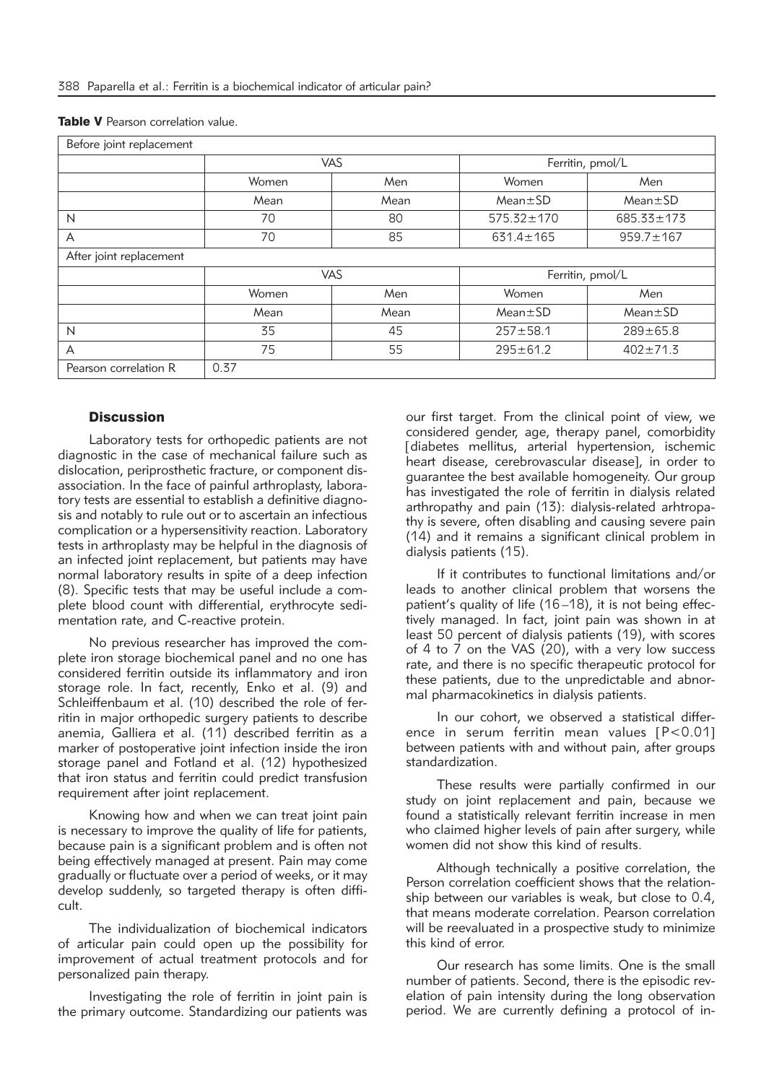| Before joint replacement |                                |      |                  |                  |  |  |  |  |
|--------------------------|--------------------------------|------|------------------|------------------|--|--|--|--|
|                          | VAS                            |      | Ferritin, pmol/L |                  |  |  |  |  |
|                          | Women                          | Men  | Women            | Men              |  |  |  |  |
|                          | Mean<br>Mean                   |      | $Mean \pm SD$    | $Mean \pm SD$    |  |  |  |  |
| N                        | 70                             | 80   | $575.32 \pm 170$ | $685.33 \pm 173$ |  |  |  |  |
| А                        | 70                             | 85   | $631.4 \pm 165$  | $959.7 \pm 167$  |  |  |  |  |
| After joint replacement  |                                |      |                  |                  |  |  |  |  |
|                          | <b>VAS</b><br>Ferritin, pmol/L |      |                  |                  |  |  |  |  |
|                          | Women                          | Men  | Women            | Men              |  |  |  |  |
|                          | Mean                           | Mean | $Mean \pm SD$    | $Mean \pm SD$    |  |  |  |  |
| N                        | 35                             | 45   | $257 + 58.1$     | $289 \pm 65.8$   |  |  |  |  |
| A                        | 75                             | 55   | $295 \pm 61.2$   | $402 \pm 71.3$   |  |  |  |  |
| Pearson correlation R    | 0.37                           |      |                  |                  |  |  |  |  |

|  |  | <b>Table V</b> Pearson correlation value. |  |
|--|--|-------------------------------------------|--|
|--|--|-------------------------------------------|--|

## **Discussion**

Laboratory tests for orthopedic patients are not diagnostic in the case of mechanical failure such as dislocation, periprosthetic fracture, or component disassociation. In the face of painful arthroplasty, laboratory tests are essential to establish a definitive diagnosis and notably to rule out or to ascertain an infectious complication or a hypersensitivity reaction. Laboratory tests in arthroplasty may be helpful in the diagnosis of an infected joint replacement, but patients may have normal laboratory results in spite of a deep infection (8). Specific tests that may be useful include a complete blood count with differential, erythrocyte sedimentation rate, and C-reactive protein.

No previous researcher has improved the complete iron storage biochemical panel and no one has considered ferritin outside its inflammatory and iron storage role. In fact, recently, Enko et al. (9) and Schleiffenbaum et al. (10) described the role of ferritin in major orthopedic surgery patients to describe anemia, Galliera et al. (11) described ferritin as a marker of postoperative joint infection inside the iron storage panel and Fotland et al. (12) hypothesized that iron status and ferritin could predict transfusion requirement after joint replacement.

Knowing how and when we can treat joint pain is necessary to improve the quality of life for patients, because pain is a significant problem and is often not being effectively managed at present. Pain may come gradually or fluctuate over a period of weeks, or it may develop suddenly, so targeted therapy is often difficult.

The individualization of biochemical indicators of articular pain could open up the possibility for improvement of actual treatment protocols and for personalized pain therapy.

Investigating the role of ferritin in joint pain is the primary outcome. Standardizing our patients was our first target. From the clinical point of view, we considered gender, age, therapy panel, comorbidity [diabetes mellitus, arterial hypertension, ischemic heart disease, cerebrovascular disease], in order to guarantee the best available homogeneity. Our group has investigated the role of ferritin in dialysis related arthropathy and pain (13): dialysis-related arhtropathy is severe, often disabling and causing severe pain (14) and it remains a significant clinical problem in dialysis patients (15).

If it contributes to functional limitations and/or leads to another clinical problem that worsens the patient's quality of life (16–18), it is not being effectively managed. In fact, joint pain was shown in at least 50 percent of dialysis patients (19), with scores of 4 to 7 on the VAS (20), with a very low success rate, and there is no specific therapeutic protocol for these patients, due to the unpredictable and abnormal pharmacokinetics in dialysis patients.

In our cohort, we observed a statistical difference in serum ferritin mean values [P<0.01] between patients with and without pain, after groups standardization.

These results were partially confirmed in our study on joint replacement and pain, because we found a statistically relevant ferritin increase in men who claimed higher levels of pain after surgery, while women did not show this kind of results.

Although technically a positive correlation, the Person correlation coefficient shows that the relationship between our variables is weak, but close to 0.4, that means moderate correlation. Pearson correlation will be reevaluated in a prospective study to minimize this kind of error.

Our research has some limits. One is the small number of patients. Second, there is the episodic revelation of pain intensity during the long observation period. We are currently defining a protocol of in